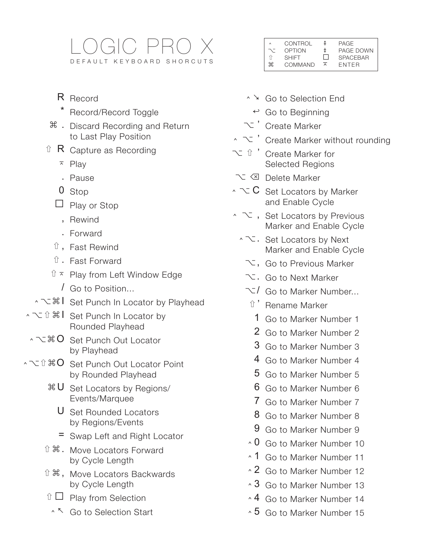# LOGIC PRO X DEFAULT KEYBOARD SHORCUTS

- R Record
	- Record/Record Toggle
- $\frac{1}{\pi}$  . Discard Recording and Return to Last Play Position
- $\hat{U}$  R Capture as Recording
	- $\overline{P}$  Play
	- . Pause
	- 0 Stop
	- $\Box$  Play or Stop
		- , Rewind
		- . Forward
	- ⇧ , Fast Rewind
	- ⇧ . Fast Forward
	- $\hat{U}$   $\bar{x}$  Play from Left Window Edge
		- / Go to Position...
- ⌃⌥⌘I Set Punch In Locator by Playhead
- **、 て û 器 | Set Punch In Locator by** Rounded Playhead
- ^ て �� O Set Punch Out Locator by Playhead
- $\sim$   $\sim$   $\hat{v}$   $*$  O  $\sim$  set Punch Out Locator Point by Rounded Playhead
	- ⌘ U Set Locators by Regions/ Events/Marquee
		- U Set Rounded Locators by Regions/Events
		- = Swap Left and Right Locator
	- ⇧⌘. Move Locators Forward by Cycle Length
	- ⇧⌘, Move Locators Backwards by Cycle Length
	- $\hat{U}$   $\Box$  Play from Selection
		- ⌃ ↖ Go to Selection Start

| $\wedge$ | CONTROL      | ≇                   | PAGE            |
|----------|--------------|---------------------|-----------------|
| -7       | OPTION       | ŧ                   | PAGE DOWN       |
|          | <b>SHIFT</b> | $\Box$              | <b>SPACEBAR</b> |
| ₩        | COMMAND      | $\overline{\wedge}$ | <b>FNTFR</b>    |

- ⌃ ↘ Go to Selection End
- $\leftrightarrow$  Go to Beginning
- $\infty$  ' Create Marker
- $\sim$   $\sim$   $\degree$  Create Marker without rounding
- ⌥⇧' Create Marker for Selected Regions
- ⌥ ⌫ Delete Marker
- $\sim$   $\sim$  C Set Locators by Marker and Enable Cycle
- ⌃⌥, Set Locators by Previous Marker and Enable Cycle
	- ⌃⌥. Set Locators by Next Marker and Enable Cycle
		- $\searrow$ , Go to Previous Marker
		- ⌥ . Go to Next Marker
		- $\leq$ / Go to Marker Number...
		- ⇧ ' Rename Marker
			- 1 Go to Marker Number 1
			- 2 Go to Marker Number 2
			- 3 Go to Marker Number 3
			- 4 Go to Marker Number 4
		- 5 Go to Marker Number 5
		- 6 Go to Marker Number 6
		- 7 Go to Marker Number 7
		- 8 Go to Marker Number 8
		- 9 Go to Marker Number 9
		- $\cdot$  0 Go to Marker Number 10
		- ⌃ 1 Go to Marker Number 11
		- $\sim$  2 Go to Marker Number 12
		- $\cdot$  3 Go to Marker Number 13
		- ↑ 4 Go to Marker Number 14
		- ⌃ 5 Go to Marker Number 15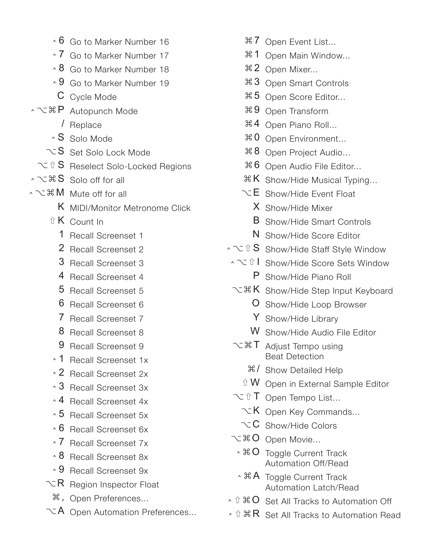- $\cdot$  6 Go to Marker Number 16
- ⌃ 7 Go to Marker Number 17
- $\cdot$  8 Go to Marker Number 18
- $\cdot$  9 Go to Marker Number 19
- C Cycle Mode
- ⌃⌥⌘P Autopunch Mode
	- / Replace
	- $\cdot$  S Solo Mode
	- $\sim$ S Set Solo Lock Mode
- ⌥⇧S Reselect Solo-Locked Regions
- **へて # S** Solo off for all
- **へて 36 M** Mute off for all
	- K MIDI/Monitor Metronome Click
	- ⇧ K Count In
		- 1 Recall Screenset 1
		- 2 Recall Screenset 2
		- 3 Recall Screenset 3
		- 4 Recall Screenset 4
		- 5 Recall Screenset 5
		- 6 Recall Screenset 6
		- 7 Recall Screenset 7
		- 8 Recall Screenset 8
		- 9 Recall Screenset 9
	- ⌃ 1 Recall Screenset 1x
	- ⌃ 2 Recall Screenset 2x
	- ⌃ 3 Recall Screenset 3x
	- ⌃ 4 Recall Screenset 4x
	- $\cdot$  5 Recall Screenset 5x
	- $\cdot$  6 Recall Screenset 6x
	- ⌃ 7 Recall Screenset 7x
	- ⌃ 8 Recall Screenset 8x
	- ⌃ 9 Recall Screenset 9x
	- $\nabla R$  Region Inspector Float
		- ⌘ , Open Preferences...
	- $\nabla A$  Open Automation Preferences...
- $\text{\# }7$  Open Event List...
- ⌘ 1 Open Main Window...
- ⌘ 2 Open Mixer...
- ⌘ 3 Open Smart Controls
- ⌘ 5 Open Score Editor...
- ⌘ 9 Open Transform
- $\#$  4 Open Piano Roll...
- $\text{\#0}$  Open Environment...
- $\frac{126}{100}$  8 Open Project Audio...
- ⌘ 6 Open Audio File Editor...
- $*K$  Show/Hide Musical Typing...
- $\nabla$ **E** Show/Hide Fyent Float
	- X Show/Hide Mixer
	- **B** Show/Hide Smart Controls
	- N Show/Hide Score Editor
- ⌃⌥⇧S Show/Hide Staff Style Window
- ⌃⌥⇧I Show/Hide Score Sets Window P Show/Hide Piano Roll
- て <sup>36</sup> K Show/Hide Step Input Keyboard
	- O Show/Hide Loop Browser
	- Y Show/Hide Library
	- W Show/Hide Audio File Editor
- $\sim$   $\mathcal{H}$  T Adjust Tempo using Beat Detection
	- **米/ Show Detailed Help**
	- $\hat{U}$  W Open in External Sample Editor
- ⌥⇧T Open Tempo List...
	- $\nabla K$  Open Key Commands...
- $\sim$  C Show/Hide Colors
- ⌥⌘O Open Movie...
	- ^  $*$  O Toggle Current Track Automation Off/Read
	- **^ 米 A** Toggle Current Track Automation Latch/Read
- $\cdot$  û  $\#$  O Set All Tracks to Automation Off
- **^** û  $R$  Set All Tracks to Automation Read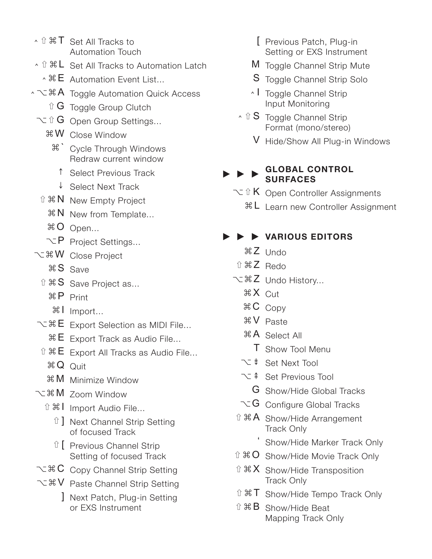- △ û 米 T Set All Tracks to Automation Touch
- ↑ Î  $$L$  Set All Tracks to Automation Latch
	- $\cdot$   $\frac{a}{b}$  E Automation Event List...
- ⌃⌥⌘A Toggle Automation Quick Access
	- $\hat{u}$  G Toggle Group Clutch
	- $\sim$  û G Open Group Settings...
		- ⌘ W Close Window
			- ⌘ ` Cycle Through Windows Redraw current window
				- ↑ Select Previous Track
			- ↓ Select Next Track
	- ⇧⌘N New Empty Project
		- $\mathbb{R}$  **N** New from Template...
		- ⌘ O Open...
		- $\nabla$  P Project Settings...
- ⌥⌘W Close Project
	- ⌘ S Save
	- ⇧⌘S Save Project as...
		- ⌘ P Print
		- ⌘ I Import...
- $\sim$   $\mathbb{R}E$  Export Selection as MIDI File...
	- $\mathbb{R}$  E Export Track as Audio File...
- $\hat{u}$   $\mathbb{R}$  E Export All Tracks as Audio File...
	- $\mathcal{B} \Omega$  Quit
	- ⌘ M Minimize Window
- ⌥⌘M Zoom Window
	- ⇧⌘I Import Audio File...
		- û ] Next Channel Strip Setting of focused Track
		- ⇧ [ Previous Channel Strip Setting of focused Track
- $\sim$   $\mathcal{R}$  C Copy Channel Strip Setting
- ⌥⌘V Paste Channel Strip Setting
	- ] Next Patch, Plug-in Setting or EXS Instrument
- [ Previous Patch, Plug-in Setting or EXS Instrument
- M Toggle Channel Strip Mute
- S Toggle Channel Strip Solo
- **L** Toggle Channel Strip Input Monitoring
- $\hat{S}$  Toggle Channel Strip Format (mono/stereo)
	- V Hide/Show All Plug-in Windows

#### **GLOBAL CONTROL SURFACES**

- $\sim$  **û K** Open Controller Assignments
	- ⌘ L Learn new Controller Assignment

# ▶ ▶ ▶ **VARIOUS EDITORS**

- ⌘ Z Undo
- ⇧⌘Z Redo
- ⌥⌘Z Undo History...
	- ⌘ X Cut
	- ⌘ C Copy
	- ⌘ V Paste
	- ⌘ A Select All
		- T Show Tool Menu
	- ⌥ ⇟ Set Next Tool
	- ⌥ ⇞ Set Previous Tool
		- G Show/Hide Global Tracks
	- $\sim$  G Configure Global Tracks
- $\hat{u}$   $\mathbb{R}$  A Show/Hide Arrangement Track Only
	- Show/Hide Marker Track Only
- $\hat{u}$   $*$  O Show/Hide Movie Track Only
- $\hat{u}$   $\mathbb{R}$  X Show/Hide Transposition Track Only
- ⇧⌘T Show/Hide Tempo Track Only
- ⇧⌘B Show/Hide Beat Mapping Track Only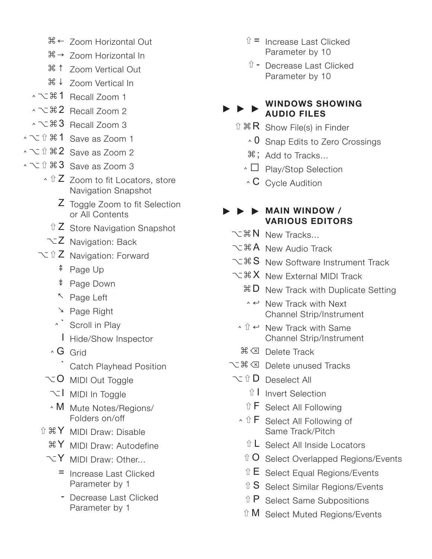- ⌘ ← Zoom Horizontal Out
- $\mathbb{R} \rightarrow$  Zoom Horizontal In
- ⌘ ↑ Zoom Vertical Out
- ⌘ ↓ Zoom Vertical In
- ⌃⌥⌘1 Recall Zoom 1
- へて 32 Recall Zoom 2
- $\sim$   $\times$   $\frac{3}{5}$  Recall Zoom 3
- ⌃⌥⇧⌘1 Save as Zoom 1
- **^ てû 器2 Save as Zoom 2**
- ◆ **べ** û  $\angle$  3 Save as Zoom 3
	- **↑ û Z** Zoom to fit Locators, store Navigation Snapshot
		- Z Toggle Zoom to fit Selection or All Contents
		- $\hat{a}$  Z Store Navigation Snapshot
	- $\nabla Z$  Navigation: Back
	- **V** û Z Navigation: Forward
		- ⇞ Page Up
		- ⇟ Page Down
		- ↖ Page Left
		- ↘ Page Right
		- ⌃ ` Scroll in Play
			- I Hide/Show Inspector
		- $\wedge$  G Grid
			- ` Catch Playhead Position
		- $\sim$  O MIDI Out Toggle
			- $\overline{C}$  MIDI In Toggle
			- ⌃ M Mute Notes/Regions/ Folders on/off
	- ⇧⌘Y MIDI Draw: Disable
		- $\mathcal{X}$  MIDI Draw: Autodefine
		- $\nabla$  MIDI Draw: Other...
			- = Increase Last Clicked Parameter by 1
			- Decrease Last Clicked Parameter by 1
- $\hat{u}$  = Increase Last Clicked Parameter by 10
- ⇧ Decrease Last Clicked Parameter by 10

#### **WINDOWS SHOWING AUDIO FILES**

- $\hat{u}$   $\Re R$  Show File(s) in Finder
	- $\cdot$  0 Snap Edits to Zero Crossings
	- $\mathcal{H}$ ; Add to Tracks...
	- ⌃ ˽ Play/Stop Selection
	- $\wedge$  C Cycle Audition

### ▶ ▶ ▶ **MAIN WINDOW / VARIOUS EDITORS**

- て ま N New Tracks...
- ⌥⌘A New Audio Track
- て # S New Software Instrument Track
- て<sub>ま</sub>X New External MIDI Track
	- $\mathbb{R}$  **D** New Track with Duplicate Setting
	- $\land \leftrightarrow$  New Track with Next Channel Strip/Instrument
	- $\land$   $\hat{U}$   $\leftrightarrow$  New Track with Same Channel Strip/Instrument
	- ⌘ ⌫ Delete Track
- **て ま 図 Delete unused Tracks**
- $\sim$  û D Deselect All
	- ⇧ I Invert Selection
	- ⇧ F Select All Following
	- $\cdot$  û F Select All Following of Same Track/Pitch
		- $\hat{u}$  L Select All Inside Locators
		- û O Select Overlapped Regions/Events
		- $\hat{E}$  Select Equal Regions/Events
		- û S Select Similar Regions/Events
		- ⇧ P Select Same Subpositions
	- ⇧ M Select Muted Regions/Events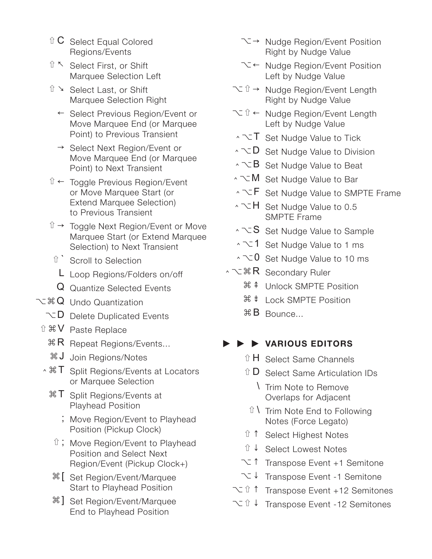- $\hat{C}$  Select Equal Colored Regions/Events
- ⇧ ↖ Select First, or Shift Marquee Selection Left
- ⇧ ↘ Select Last, or Shift Marquee Selection Right
	- ← Select Previous Region/Event or Move Marquee End (or Marquee Point) to Previous Transient
	- → Select Next Region/Event or Move Marquee End (or Marquee Point) to Next Transient
- ⇧ ← Toggle Previous Region/Event or Move Marquee Start (or Extend Marquee Selection) to Previous Transient
- û → Toggle Next Region/Event or Move Marquee Start (or Extend Marquee Selection) to Next Transient
- û ` Scroll to Selection
- L Loop Regions/Folders on/off
- Q Quantize Selected Events
- ⌥⌘Q Undo Quantization
	- $\sim$  D Delete Duplicated Events
- ⇧⌘V Paste Replace
	- $\mathbb{R}$  **R** Repeat Regions/Events...
	- ⌘ J Join Regions/Notes
- $\cdot$   $*$  T Split Regions/Events at Locators or Marquee Selection
	- $\mathcal{F}$  Split Regions/Events at Playhead Position
		- ; Move Region/Event to Playhead Position (Pickup Clock)
	- $\hat{U}$ ; Move Region/Event to Playhead Position and Select Next Region/Event (Pickup Clock+)
	- ⌘ [ Set Region/Event/Marquee Start to Playhead Position
	- $\mathcal{H}$ ] Set Region/Event/Marquee End to Playhead Position
- ⌥ → Nudge Region/Event Position Right by Nudge Value
- ⌥ ← Nudge Region/Event Position Left by Nudge Value
- ⌥⇧→ Nudge Region/Event Length Right by Nudge Value
- ⌥⇧← Nudge Region/Event Length Left by Nudge Value
- ⌃⌥T Set Nudge Value to Tick
- ⌃⌥D Set Nudge Value to Division
- ⌃⌥B Set Nudge Value to Beat
- ⌃⌥M Set Nudge Value to Bar
- $\cdot$  $\overline{\cdot}$  **F** Set Nudge Value to SMPTE Frame
- ⌃⌥H Set Nudge Value to 0.5 SMPTE Frame
- ⌃⌥S Set Nudge Value to Sample
- ⌃⌥1 Set Nudge Value to 1 ms
- ⌃⌥0 Set Nudge Value to 10 ms
- へて まR Secondary Ruler
	- ⌘ ⇞ Unlock SMPTE Position
	- ⌘ ⇟ Lock SMPTE Position
	- ⌘ B Bounce...

# ▶ ▶ ▶ **VARIOUS EDITORS**

- û H Select Same Channels
- ⇧ D Select Same Articulation IDs
	- \ Trim Note to Remove Overlaps for Adjacent
- $\hat{U}$  \ Trim Note End to Following Notes (Force Legato)
- ⇧ ↑ Select Highest Notes
- ⇧ ↓ Select Lowest Notes
- ⌥ ↑ Transpose Event +1 Semitone
- ⌥ ↓ Transpose Event -1 Semitone
- ⌥⇧↑ Transpose Event +12 Semitones
- ⌥⇧↓ Transpose Event -12 Semitones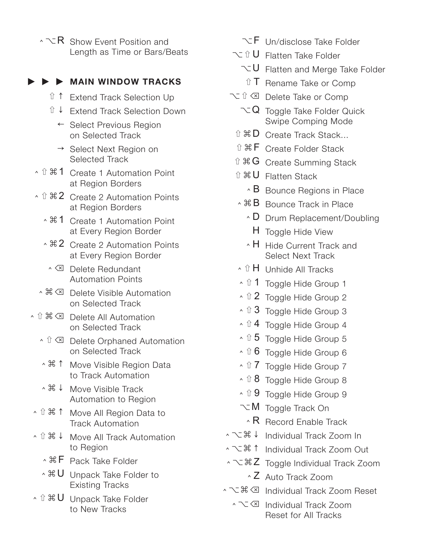$\cdot \searrow R$  Show Event Position and Length as Time or Bars/Beats

#### ▶ ▶ ▶ **MAIN WINDOW TRACKS**

- ⇧ ↑ Extend Track Selection Up
- ⇧ ↓ Extend Track Selection Down
	- ← Select Previous Region on Selected Track
	- → Select Next Region on Selected Track
- ◆ û 米 1 Create 1 Automation Point at Region Borders
- ↑ û 器2 Create 2 Automation Points at Region Borders
	- ⌃⌘1 Create 1 Automation Point at Every Region Border
	- ↑  $\frac{12}{}$  Create 2 Automation Points at Every Region Border
		- ⌃ ⌫ Delete Redundant Automation Points
- ⌃⌘⌫ Delete Visible Automation on Selected Track
- **◆ û 器 ⊠ Delete All Automation** on Selected Track
	- **↑ û ⊠** Delete Orphaned Automation on Selected Track
	- ⌃⌘↑ Move Visible Region Data to Track Automation
	- ⌃⌘↓ Move Visible Track Automation to Region
- ⌃⇧⌘↑ Move All Region Data to Track Automation
- ⌃⇧⌘↓ Move All Track Automation to Region
	- **^ 器 F** Pack Take Folder
	- $\cdot$   $\mathcal{H}$  U Unpack Take Folder to Existing Tracks
- △ û 器 U Unpack Take Folder to New Tracks
- $\nabla$ F Un/disclose Take Folder
- **V** Û Flatten Take Folder
	- ⌥ U Flatten and Merge Take Folder
		- û T Rename Take or Comp
- ⌥⇧⌫ Delete Take or Comp
	- $\sim Q$  Toggle Take Folder Quick Swipe Comping Mode
	- ⇧⌘D Create Track Stack...
	- ⇧⌘F Create Folder Stack
	- ⇧⌘G Create Summing Stack
	- ⇧⌘U Flatten Stack
		- $\cdot$  B Bounce Regions in Place
	- ^ 米B Bounce Track in Place
		- ⌃ D Drum Replacement/Doubling
			- H Toggle Hide View
		- ⌃ H Hide Current Track and Select Next Track
	- **↑ û H** Unhide All Tracks
	- ↑ û 1 Toggle Hide Group 1
	- ↑ û 2 Toggle Hide Group 2
	- ↑ û 3 Toggle Hide Group 3
	- $\hat{u}$  4 Toggle Hide Group 4
	- $\cdot$  û 5 Toggle Hide Group 5
	- $\cdot$  û 6 Toggle Hide Group 6
	- ↑ û 7 Toggle Hide Group 7
	- $\cdot$  û 8 Toggle Hide Group 8
	- ↑ Û 9 Toggle Hide Group 9
	- ⌥ M Toggle Track On
		- $\cdot$  R Record Enable Track
- ⌃⌥⌘↓ Individual Track Zoom In
- ⌃⌥⌘↑ Individual Track Zoom Out
- ⌃⌥⌘Z Toggle Individual Track Zoom
	- ⌃ Z Auto Track Zoom
- ⌃⌥⌘⌫ Individual Track Zoom Reset
	- ⌃⌥⌫ Individual Track Zoom Reset for All Tracks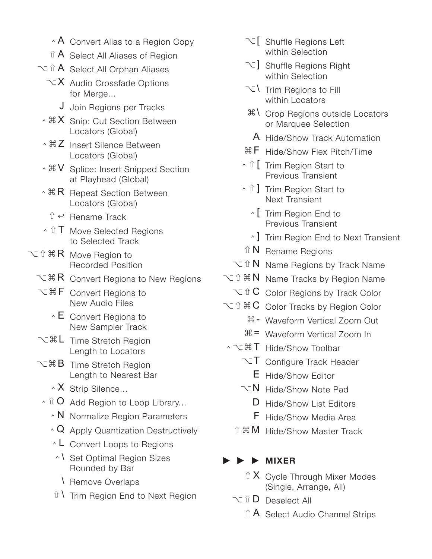- $\cdot$  A Convert Alias to a Region Copy
- $\hat{a}$  **A** Select All Aliases of Region
- $\sim$  û A Select All Orphan Aliases
	- $\nabla$ **X** Audio Crossfade Options for Merge...
		- J Join Regions per Tracks
	- $\cdot$   $\mathbb{R}$  X Snip: Cut Section Between Locators (Global)
	- ↑  $\frac{1}{2}$  Insert Silence Between Locators (Global)
	- ↑  $\mathcal{H} \vee$  Splice: Insert Snipped Section at Playhead (Global)
- $\cdot$   $*$  R Repeat Section Between Locators (Global)
	- $\hat{u} \leftrightarrow$  Rename Track
- **↑ Û T** Move Selected Regions to Selected Track
- 文 û  $R$  Move Region to Recorded Position
	- $\sim$   $\mathbb{R}$  R Convert Regions to New Regions
	- ⌥⌘F Convert Regions to New Audio Files
		- $\cdot$  E Convert Regions to New Sampler Track
	- て <sub>3</sub> L Time Stretch Region Length to Locators
	- て 36 B Time Stretch Region Length to Nearest Bar
		- **X** Strip Silence...
		- $\land$   $\hat{U}$  O Add Region to Loop Library...
			- ⌃ N Normalize Region Parameters
			- ⌃ Q Apply Quantization Destructively
			- ⌃ L Convert Loops to Regions
			- ⌃ \ Set Optimal Region Sizes Rounded by Bar
				- \ Remove Overlaps
			- $\hat{U}$  Trim Region End to Next Region
- $\overline{\mathcal{C}}$  Shuffle Regions Left within Selection
- $\setminus$ ] Shuffle Regions Right within Selection
- ⌥ \ Trim Regions to Fill within Locators
- $\frac{1}{2}$  Crop Regions outside Locators or Marquee Selection
- A Hide/Show Track Automation
- $%$  **F** Hide/Show Flex Pitch/Time
- ⌃⇧[ Trim Region Start to Previous Transient
- <sup>ヘ û</sup> ] Trim Region Start to Next Transient
	- ⌃ [ Trim Region End to Previous Transient
	- ⌃ ] Trim Region End to Next Transient
- ⇧ N Rename Regions
- $\sim$  î N Name Regions by Track Name
- てû  $R$  N Name Tracks by Region Name
	- $\sim$  û C Color Regions by Track Color
- $\sim$  û  $\#C$  Color Tracks by Region Color
	- ⌘ Waveform Vertical Zoom Out
	- ⌘ = Waveform Vertical Zoom In
- ⌃⌥⌘T Hide/Show Toolbar
	- $\nabla$ T Configure Track Header
		- E Hide/Show Editor
	- $\nabla N$  Hide/Show Note Pad
		- D Hide/Show List Editors
		- F Hide/Show Media Area
	- ⇧⌘M Hide/Show Master Track

#### ▶ ▶ ▶ **MIXER**

- $\hat{a}$  X Cycle Through Mixer Modes (Single, Arrange, All)
- ⌥⇧D Deselect All
	- ⇧ A Select Audio Channel Strips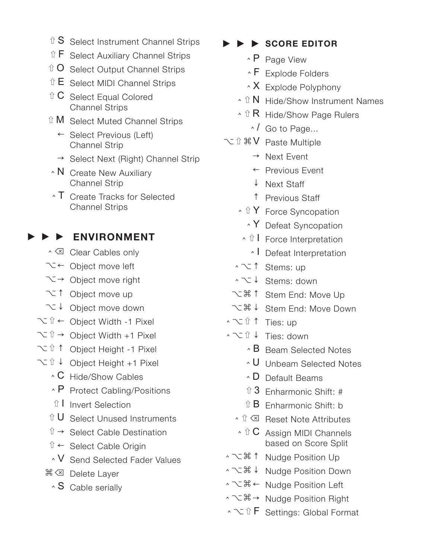- $\hat{a}$  S Select Instrument Channel Strips
- ⇧ F Select Auxiliary Channel Strips
- $\hat{U}$  O Select Output Channel Strips
- $\hat{U}$  E Select MIDI Channel Strips
- $\hat{C}$  Select Equal Colored Channel Strips
- ⇧ M Select Muted Channel Strips
	- ← Select Previous (Left) Channel Strip
	- $\rightarrow$  Select Next (Right) Channel Strip
- **N** Create New Auxiliary Channel Strip
- $\cdot$  T Create Tracks for Selected Channel Strips

### ▶ ▶ ▶ **ENVIRONMENT**

- <sup>^</sup> Clear Cables only
- ⌥ ← Object move left
- $\sum \rightarrow$  Object move right
- ⌥ ↑ Object move up
- ⌥ ↓ Object move down
- ⌥⇧← Object Width -1 Pixel
- ⌥⇧→ Object Width +1 Pixel
- ⌥⇧↑ Object Height -1 Pixel
- ⌥⇧↓ Object Height +1 Pixel
	- $\hat{C}$  Hide/Show Cables
	- ⌃ P Protect Cabling/Positions
	- ⇧ I Invert Selection
	- $\hat{U}$  U Select Unused Instruments
	- $\hat{U} \rightarrow$  Select Cable Destination
	- $\hat{u}$  ← Select Cable Origin
	- ⌃ V Send Selected Fader Values
	- **米 ⊠** Delete Layer
		- $\cdot$  S Cable serially
- ▶ ▶ ▶ **SCORE EDITOR**
	- ⌃ P Page View
	- ⌃ F Explode Folders
	- $\cdot$  X Explode Polyphony
	- $\cdot$  û N Hide/Show Instrument Names
	- $\cdot$  û R Hide/Show Page Rulers
		- $\land$  Go to Page...
- ⌥⇧⌘V Paste Multiple
	- → Next Event
	- ← Previous Event
	- ↓ Next Staff
	- ↑ Previous Staff
	- **△ û Y** Force Syncopation
		- ⌃ Y Defeat Syncopation
	- **↑ û | Force Interpretation** 
		- ⌃ I Defeat Interpretation
	- ⌃⌥↑ Stems: up
	- ⌃⌥↓ Stems: down
	- ⌥⌘↑ Stem End: Move Up
	- ⌥⌘↓ Stem End: Move Down
- ⌃⌥⇧↑ Ties: up
- ⌃⌥⇧↓ Ties: down
	- $\cdot$  B Beam Selected Notes
	- ⌃ U Unbeam Selected Notes
	- ⌃ D Default Beams
	- $\hat{u}$  3 Enharmonic Shift: #
	- $\hat{a}$  B Enharmonic Shift: b
	- **↑ Û Ø Reset Note Attributes**
	- $\cdot$  û  $C$  Assign MIDI Channels based on Score Split
- ⌃⌥⌘↑ Nudge Position Up
- ⌃⌥⌘↓ Nudge Position Down
- ⌃⌥⌘← Nudge Position Left
- ⌃⌥⌘→ Nudge Position Right
- ⌃⌥⇧F Settings: Global Format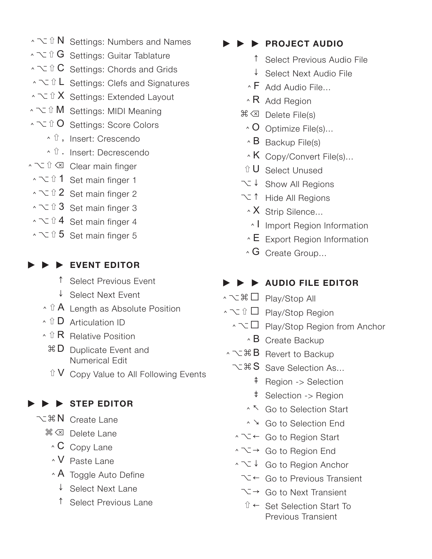- $\cdot$   $\sim$  û N Settings: Numbers and Names
- $\cdot$   $\sim$  û G settings: Guitar Tablature
- $\sim$  **℃ C** Settings: Chords and Grids
- $\cdot$  $\sim$  **û L** Settings: Clefs and Signatures
- ⌃⌥⇧X Settings: Extended Layout
- ⌃⌥⇧M Settings: MIDI Meaning
- ⌃⌥⇧O Settings: Score Colors
	- ⌃⇧, Insert: Crescendo
	- ⌃⇧. Insert: Decrescendo
- ⌃⌥⇧⌫ Clear main finger
- ⌃⌥⇧1 Set main finger 1
- ↑  $\check{C}$  î 2 Set main finger 2
- ⌃⌥⇧3 Set main finger 3
- $\sim$   $\sqrt{2}$  4 Set main finger 4
- $\sim$   $\sqrt{6}$  5 Set main finger 5

### ▶ ▶ ▶ **EVENT EDITOR**

- ↑ Select Previous Event
- ↓ Select Next Event
- $\cdot$  û A Length as Absolute Position
- **△ Û D** Articulation ID
- **↑ û R** Relative Position
	- $\overline{a}$  D Duplicate Event and Numerical Edit
	- $\hat{U}$  V Copy Value to All Following Events

# ▶ ▶ ▶ **STEP EDITOR**

- ⌥⌘N Create Lane
	- **米** ⊠ Delete Lane
		- ⌃ C Copy Lane
		- ⌃ V Paste Lane
		- **A** Toggle Auto Define
			- ↓ Select Next Lane
			- ↑ Select Previous Lane

## ▶ ▶ ▶ **PROJECT AUDIO**

- ↑ Select Previous Audio File
- ↓ Select Next Audio File
- $\overline{\wedge}$  F Add Audio File...
- $\cdot$  R Add Region
- ⌘ ⌫ Delete File(s)
	- $\wedge$  O Optimize File(s)...
	- $\triangle$  B Backup File(s)
	- $\cdot$  K Copy/Convert File(s)...
- ⇧ U Select Unused
- ⌥ ↓ Show All Regions
- ⌥ ↑ Hide All Regions
	- $\cdot$  X Strip Silence...
	- ⌃ I Import Region Information
	- $\cdot$  E Export Region Information
- $\cdot$  G Create Group...

# ▶ ▶ ▶ **AUDIO FILE EDITOR**

- ⌃⌥⌘˽ Play/Stop All
- $\cdot$  **∠ û □ Play/Stop Region** 
	- ⌃⌥˽ Play/Stop Region from Anchor
		- $\triangle$  B Create Backup
- ^ ~ �� B Revert to Backup
	- $\sim$   $\frac{1}{8}$  S Save Selection As...
		- ⇞ Region -> Selection
		- ⇟ Selection -> Region
		- ⌃ ↖ Go to Selection Start
		- ⌃ ↘ Go to Selection End
	- ⌃⌥← Go to Region Start
	- ⌃⌥→ Go to Region End
	- ⌃⌥↓ Go to Region Anchor
		- ⌥ ← Go to Previous Transient
		- $\sum \rightarrow$  Go to Next Transient
			- ⇧ ← Set Selection Start To Previous Transient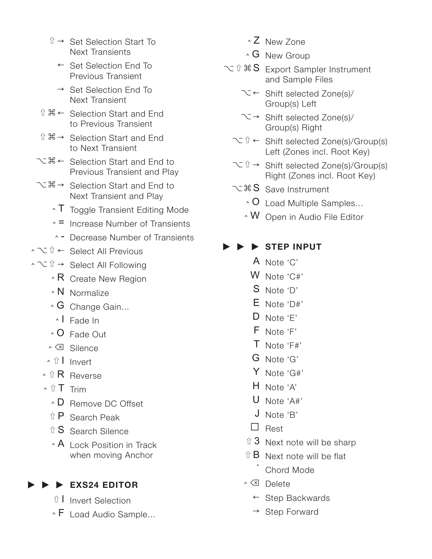- $\hat{u} \rightarrow$  Set Selection Start To Next Transients
	- ← Set Selection End To Previous Transient
	- → Set Selection End To Next Transient
- ⇧⌘← Selection Start and End to Previous Transient
- $\hat{u} \mathbb{B} \rightarrow$  Selection Start and End to Next Transient
- ⌥⌘← Selection Start and End to Previous Transient and Play
- ⌥⌘→ Selection Start and End to Next Transient and Play
	- ⌃ T Toggle Transient Editing Mode
	- ⌃ = Increase Number of Transients
	- ⌃ Decrease Number of Transients
- ⌃⌥⇧← Select All Previous
- ⌃⌥⇧→ Select All Following
	- $\cdot$  R Create New Region
	- ⌃ N Normalize
	- ⌃ G Change Gain...
	- ⌃ I Fade In
	- ⌃ O Fade Out
	- ⌃ ⌫ Silence
	- ⌃⇧I Invert
	- **↑ û R** Reverse
	- ⌃⇧T Trim
		- ⌃ D Remove DC Offset
		- $\hat{U}$  P Search Peak
		- $\hat{a}$  S Search Silence
		- $\cdot$  A Lock Position in Track when moving Anchor

### ▶ ▶ ▶ **EXS24 EDITOR**

- ⇧ I Invert Selection
- ⌃ F Load Audio Sample...
- ⌃ Z New Zone
- $\cdot$  G New Group
- ⌥⇧⌘S Export Sampler Instrument and Sample Files
	- ⌥ ← Shift selected Zone(s)/ Group(s) Left
	- $\overline{\mathcal{N}}$   $\rightarrow$  Shift selected Zone(s)/ Group(s) Right
	- ⌥⇧← Shift selected Zone(s)/Group(s) Left (Zones incl. Root Key)
	- ⌥⇧→ Shift selected Zone(s)/Group(s) Right (Zones incl. Root Key)
	- て ま S Save Instrument
		- ⌃ O Load Multiple Samples...
		- ⌃ W Open in Audio File Editor

### ▶ ▶ ▶ **STEP INPUT**

- A Note 'C'
- W Note 'C#'
- S Note 'D'
- E Note 'D#'
- D Note 'E'
- F Note 'F'
- T Note 'F#'
- G Note 'G'
- Y Note 'G#'
- H Note 'A'
- U Note 'A#'
- J Note 'B'
- $\Box$  Rest
- $\hat{u}$  3 Next note will be sharp
- $\hat{B}$  Next note will be flat Chord Mode
- ⌃ ⌫ Delete
	- ← Step Backwards
	- $\rightarrow$  Step Forward